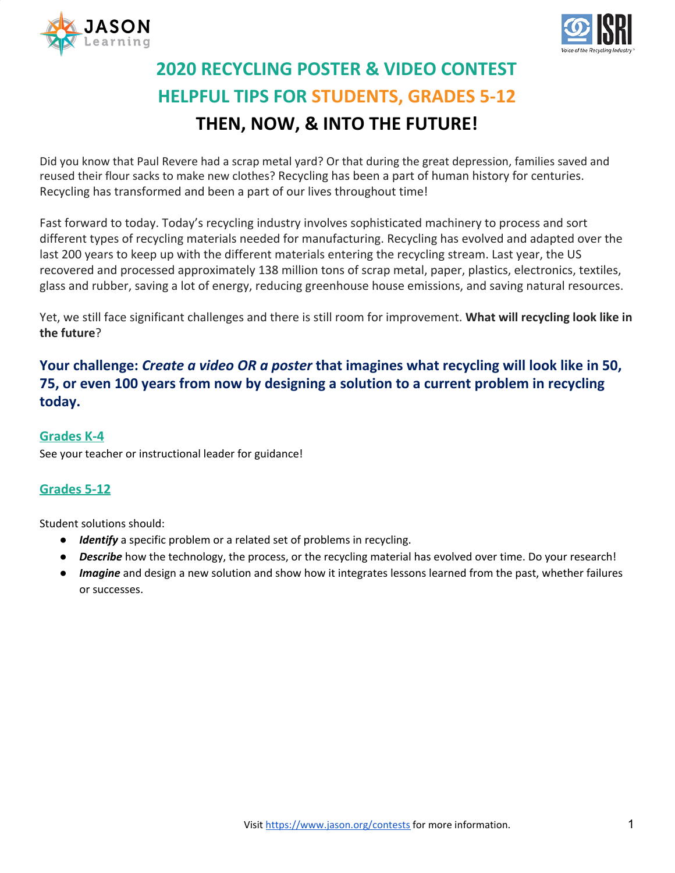



# **2020 RECYCLING POSTER & VIDEO CONTEST HELPFUL TIPS FOR STUDENTS, GRADES 5-12 THEN, NOW, & INTO THE FUTURE!**

Did you know that Paul Revere had a scrap metal yard? Or that during the great depression, families saved and reused their flour sacks to make new clothes? Recycling has been a part of human history for centuries. Recycling has transformed and been a part of our lives throughout time!

Fast forward to today. Today's recycling industry involves sophisticated machinery to process and sort different types of recycling materials needed for manufacturing. Recycling has evolved and adapted over the last 200 years to keep up with the different materials entering the recycling stream. Last year, the US recovered and processed approximately 138 million tons of scrap metal, paper, plastics, electronics, textiles, glass and rubber, saving a lot of energy, reducing greenhouse house emissions, and saving natural resources.

Yet, we still face significant challenges and there is still room for improvement. **What will recycling look like in the future**?

**Your challenge:** *Create a video OR a poster* **that imagines what recycling will look like in 50, 75, or even 100 years from now by designing a solution to a current problem in recycling today.**

#### **Grades K-4**

See your teacher or instructional leader for guidance!

### **Grades 5-12**

Student solutions should:

- *Identify* a specific problem or a related set of problems in recycling.
- *Describe* how the technology, the process, or the recycling material has evolved over time. Do your research!
- *Imagine* and design a new solution and show how it integrates lessons learned from the past, whether failures or successes.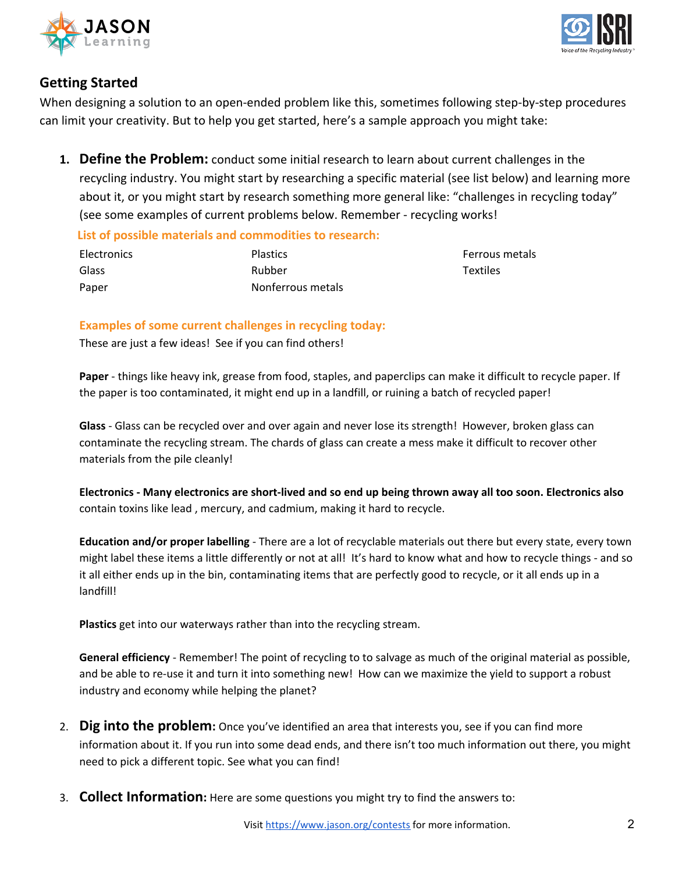



## **Getting Started**

When designing a solution to an open-ended problem like this, sometimes following step-by-step procedures can limit your creativity. But to help you get started, here's a sample approach you might take:

**1. Define the Problem:** conduct some initial research to learn about current challenges in the recycling industry. You might start by researching a specific material (see list below) and learning more about it, or you might start by research something more general like: "challenges in recycling today" (see some examples of current problems below. Remember - recycling works!

 **List of possible materials and commodities to research:**

| <b>Electronics</b> | <b>Plastics</b>   |
|--------------------|-------------------|
| Glass              | Rubber            |
| Paper              | Nonferrous metals |

Ferrous metals Textiles

#### **Examples of some current challenges in recycling today:**

These are just a few ideas! See if you can find others!

**Paper** - things like heavy ink, grease from food, staples, and paperclips can make it difficult to recycle paper. If the paper is too contaminated, it might end up in a landfill, or ruining a batch of recycled paper!

**Glass** - Glass can be recycled over and over again and never lose its strength! However, broken glass can contaminate the recycling stream. The chards of glass can create a mess make it difficult to recover other materials from the pile cleanly!

Electronics - Many electronics are short-lived and so end up being thrown away all too soon. Electronics also contain toxins like lead , mercury, and cadmium, making it hard to recycle.

**Education and/or proper labelling** - There are a lot of recyclable materials out there but every state, every town might label these items a little differently or not at all! It's hard to know what and how to recycle things - and so it all either ends up in the bin, contaminating items that are perfectly good to recycle, or it all ends up in a landfill!

**Plastics** get into our waterways rather than into the recycling stream.

**General efficiency** - Remember! The point of recycling to to salvage as much of the original material as possible, and be able to re-use it and turn it into something new! How can we maximize the yield to support a robust industry and economy while helping the planet?

- 2. **Dig into the problem:** Once you've identified an area that interests you, see if you can find more information about it. If you run into some dead ends, and there isn't too much information out there, you might need to pick a different topic. See what you can find!
- 3. **Collect Information:** Here are some questions you might try to find the answers to: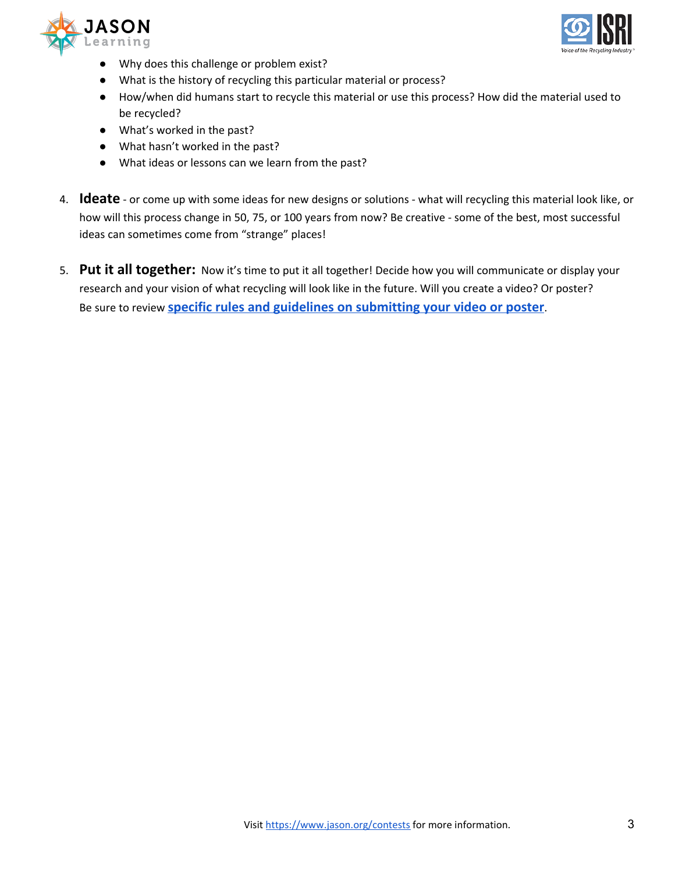



- Why does this challenge or problem exist?
- What is the history of recycling this particular material or process?
- How/when did humans start to recycle this material or use this process? How did the material used to be recycled?
- What's worked in the past?
- What hasn't worked in the past?
- What ideas or lessons can we learn from the past?
- 4. **Ideate** or come up with some ideas for new designs or solutions what will recycling this material look like, or how will this process change in 50, 75, or 100 years from now? Be creative - some of the best, most successful ideas can sometimes come from "strange" places!
- 5. **Put it all together:** Now it's time to put it all together! Decide how you will communicate or display your research and your vision of what recycling will look like in the future. Will you create a video? Or poster? Be sure to review **specific rules and guidelines on [submitting](https://www.jason.org/wp-content/uploads/2019/10/Rules-and-Guidelines-ISRI-2019-20-Contest.pdf) your video or poster**.